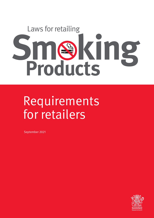Sme<sup>s</sup>king Laws for retailing **Products**

# Requirements for retailers

September 2021

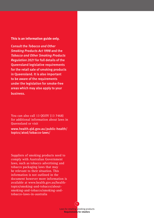#### **This is an information guide only.**

Consult the Tobacco and Other Smoking Products Act 1998 and the Tobacco and Other Smoking Products Regulation 2021 for full details of the Queensland legislative requirements for the retail sale of smoking products in Queensland. It is also important to be aware of the requirements under the legislation for smoke-free areas which may also apply to your business.

You can also call 13 QGOV (13 7468) for additional information about laws in Queensland or visit

www.health.qld.gov.au/public-health/ topics/atod/tobacco-laws/

Suppliers of smoking products need to comply with Australian Government laws, such as tobacco advertising and tobacco packaging laws that may be relevant to their situation. This information is not outlined in the document however more information is available at www.health.gov.au/healthtopics/smoking-and-tobacco/aboutsmoking-and-tobacco/smoking-andtobacco-laws-in-australia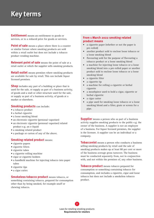# **Key terms**

**Entitlement** means an entitlement to goods or services, or to a reduced price for goods or services.

**Point of sale** means a place where there is a counter or similar fixture where smoking products are sold within a retail outlet but does not include a tobacco product vending machine.

**Relevant point of sale** means the point of sale at a retail outlet at which the supplier sells smoking products.

**Retail outlet** means premises where smoking products are available for sale by retail. This can include liquor licensed premises.

**Shop** includes any part of a building or place that is used for the sale, or supply as part of a business activity, of goods and a stall or other structure used for the sale, or supply as part of a business activity, of goods at a market or elsewhere.

#### **Smoking products** can include:

- a tobacco product
- a herbal cigarette
- a loose smoking blend
- an electronic cigarette (personal vaporiser)
- an electronic cigarette (personal vaporiser) related product e.g. an e-liquid
- a smoking related product
- a package or carton of any of the above.

#### **Smoking related product** means:

- cigarette papers
- cigarette filters
- cigarette tubes
- a cigarette rolling machine
- cigar or cigarette holders
- a handheld machine for injecting tobacco into paper tubes
- cigarette tips
- a cigar cutter.

**Smokeless tobacco product** means tobacco, or something containing tobacco, prepared for consumption other than by being smoked, for example snuff or chewing tobacco.

#### **From 1 March 2022 smoking related product means**

- a cigarette paper (whether or not the paper is pre-rolled)
- another product sold to enclose loose tobacco or a loose smoking blend
- flavouring sold for the purpose of flavouring a tobacco product or a loose smoking blend
- a machine for injecting loose tobacco or a loose smoking blend into a pre-rolled paper or another product sold to enclose loose tobacco or a loose smoking blend
- a cigarette filter
- a cigarette tip
- a machine for rolling a cigarette or herbal cigarette
- a mouthpiece used to hold a cigar, cigarette or herbal cigarette
- a cigar cutter
- a pipe used for smoking loose tobacco or a loose smoking blend and a filter, grate or screen for a pipe.

**Supplier** means a person who as part of a business activity supplies smoking products to the public e.g. the owner of the business. A supplier is not an employee of a business. For liquor licensed premises, the supplier is the licensee. A supplier can be an individual or a company.

**Tobacconist** means a person who conducts a business selling smoking products by retail and the sale of smoking products makes up at least 80 per cent or more of the business average gross turnover. The business must be conducted separately from, not in conjunction with, and not within the premises of, any other business.

**Tobacco product** means tobacco prepared for consumption or something containing tobacco for consumption, and includes a cigarette, cigar and loose tobacco but does not include a smokeless tobacco product.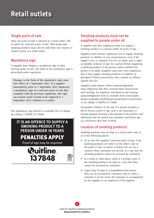# **Retail outlets**

# Single point of sale

Only one point of sale is allowed at a retail outlet. This is called the 'relevant point of sale'. This means that smoking products may only be sold from one counter or similar fixture at a retail outlet.

# Mandatory sign

A supplier must display a mandatory sign at their relevant point of sale. The form of the mandatory sign is prescribed under regulation.

**Changes to the form of the mandatory sign came into effect on 1 September 2021. If a supplier immediately prior to 1 September 2021 displayed a mandatory sign at a relevant point of sale that complied with the previous regulation, this sign can remain until it needs to be replaced or 1 September 2023 whichever is earlier.**

The mandatory sign (below) is available free of charge by calling 13 QGOV (13 7468).

### **IT IS AN OFFENCE TO SUPPLY A SMOKING PRODUCT TO A PERSON UNDER 18 YEARS**

PENALTIES APPLY

Proof of age may be required





# Smoking products must not be supplied to people under 18

A supplier and their employees must not supply a smoking product to a person under 18 years of age.

Suppliers must instruct employees not to supply smoking products to children in any circumstances, even if the supply is for, or claimed to be for, an adult; and to sight acceptable evidence of age for a person before supplying a smoking product to the person, unless satisfied the person is an adult. Suppliers must also warn employees that if they supply smoking products to children in disregard of these instructions, they commit an offence against this Act.

Suppliers must obtain written acknowledgement from employees that they received these instructions and warning. An employee information and training acknowledgement form is available from www.health. qld.gov.au/public-health/topics/atod/tobacco-laws/retail or by calling 13 QGOV (13 7468).

Acceptable evidence of the age of a person includes a driver licence, proof of age card or an Australian or foreign passport bearing a photograph of the person; and indicating that the person has attained a particular age e.g. references their date of birth..

# Location of smoking products

Smoking products may be kept at a retail outlet only at or in the following places:

- At or near the supplier's relevant point of sale, if the smoking products are either on the seller's side of the point of sale, or above or below, but not on, a counter where customers are served, in a way that the smoking products cannot be accessed by customers.
- In a room or other place, such as a storage room, if the smoking products are kept in a way that they cannot be accessed by customers.
- Cigars may be kept in a humidified room where they can be accessed by customers only if, while a customer is in the room, the customer is accompanied by the supplier or an employee of the supplier.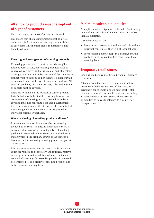# All smoking products must be kept out of sight of customers

The retail display of smoking products is banned.

This means that all smoking products kept at a retail outlet must be kept in a way that they are not visible to customers. This includes cigars in humidifiers and humidified rooms.

#### **Covering and arrangement of smoking products**

If smoking products are kept at or near the supplier's relevant point of sale, the smoking products must be concealed by a covering that is opaque; and of a colour or design that does not make a feature of the covering as distinct from its surrounds. For example, a plain curtain or cupboard door can be used to cover the products. All smoking products, including the tops, sides and bottoms of packets must be covered.

There are no limits on the number or type of product facings that may be behind the covering, however, an arrangement of smoking products behind or under a covering must not constitute a tobacco advertisement itself; or create a composite picture or other meaningful visual image whose component parts are printed on individual cartons or packages.

#### **When is viewing of smoking products allowed?**

In some circumstances it is reasonable for smoking products to be seen. The fleeting incidental view by a customer of an area of no more than  $1m^2$  of smoking products is permitted only to the extent required to carry out activities in the ordinary course of the supplier's business, such as removing smoking products as part of a transaction.

It is important to note that the intent of this provision is not for retailers to deliberately and routinely remove coverings as a selection aid for customers. Deliberate removal of coverings for extended periods of time could be considered to be a display of smoking products and enforcement action may be taken.

#### Minimum saleable quantities

A supplier must sell cigarettes or herbal cigarettes only in a package and this package must not contain less than 20 cigarettes.

A supplier must not sell:

- loose tobacco except in a package and this package must not contain less than 25g of loose tobacco
- loose smoking blend except in a package and this package must not contain less than 15g of loose smoking blend.

#### Temporary retail stores

Smoking products cannot be sold from a temporary retail store.

A temporary retail store is a temporary structure, regardless of whether any part of the structure is permanent for example a booth, tent, market stall or stand; or a vehicle or mobile structure, including a trailer, caravan or other similar thing designed or modified to be easily attached to a vehicle for transportation.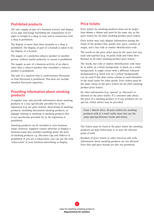#### Prohibited products

The sale, supply as part of a business activity and display of ice pipe and bongs (including the components of ice pipes or bongs) in a shop or near and in connection with a shop is prohibited.

The display of more than three hookahs in a shop is prohibited. The display of part of a hookah is taken to be the display of a hookah.

The supply of a smokeless tobacco product to another person, without lawful authority or excuse is prohibited.

The supply as part of a business activity of an object, other than a tobacco product that resembles a tobacco product is prohibited.

The sale of a cigarette that is confectionary-flavoured or fruit-flavoured is prohibited. This does not include menthol-flavoured cigarettes.

#### Providing information about smoking products

A supplier may only provide information about smoking products in a way specifically provided for in the legislation (e.g. see price tickets). Advertising of smoking products, including discounted smoking products, or signage relating to smoking or smoking products that is not specifically provided for in the legislation is prohibited.

Smoking products can be included in your business name; however, suppliers cannot advertise or display a business name that includes anything about the price of smoking products e.g. *Discount Cigs and Tobacco* is prohibited. If you are a tobacconist, you can use the term 'tobacconist' in your business advertising or display.

#### Price tickets

Price tickets for smoking products must not be larger than 80mm x 40mm and must be the same size as the price tickets for all other smoking product price tickets.

Price tickets may only display information stating the name of the product line, packet size, price, country of origin, and a bar code or similar identification code.

The words on the price ticket must be the same font size, style and typeface (e.g. 10 point, bold and Times New Roman) as all other smoking product price tickets.

The words, bar code or similar identification code must be in white on a black background, or black on a white background. A single colour with a different coloured background (e.g. black text on a yellow background), can be used if this dual colour scheme is used elsewhere in the retail outlet for other goods. Price tickets must be the same colour as the price tickets for all other smoking product price tickets.

No other information (e.g. 'special' or 'discount') is allowed on the price tickets. If a customer asks about the price of a smoking product or if any products are on special, verbal advice may be provided.

From 1 March 2022, all price tickets for smoking products sold at a retail outlet must also use the same spacing between words and letters.

The tickets must be fixed at the place where the smoking products are kept (when kept at or near the relevant point of sale).

Booklets of price tickets or other selection aids with information about smoking products are not allowed. Price lists and price boards are also not permitted.

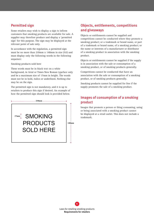#### Permitted sign Permitted sign

Some retailers may wish to display a sign to inform Some retailers may wish to display a sign to inform customers that smoking products are available for sale. A customers that smoking products are available for sale. supplier may therefore produce and display a 'permitted  $\frac{1}{2}$  sign' for this purpose. The sign may be displayed at the  $\frac{d}{dt}$  relevant point of sale only.

In accordance with the regulation, a permitted sign In accordance with the regulation, a permitted sign must be no more than  $210 \text{mm} \times 148 \text{mm}$  in size (A5) and must display only the following words in the following sequence:  $S_{\rm max}$  sold here  $\frac{1}{2}$ 

Smoking products sold here

These words must be in black text on a white background, in Arial or Times New Roman typeface only and be a maximum size of 17mm in height. The words must not be in bold, italics or underlined. Nothing else may be on the sign. may be on the sign.

The permitted sign is not mandatory, and it is up to The permitted sign is not mandatory and it is up to retailers to produce this sign if desired. An example of how the permitted sign should look is provided below.



# Objects, entitlements, competitions and giveaways in the following and streams.

Objects or entitlements cannot be supplied and objects of entitements cannot be suppried and<br>competitions cannot be conducted where they promote a competitions cannot be conducted where they promote a<br>smoking product; or a trademark or brand name, or part of a trademark or brand name, of a smoking product; or the name or interests of a manufacturer or distributor of a smoking product in association with the smoking product.

product.<br>Objects or entitlements cannot be supplied if the supply is in association with the sale or consumption of a  $\overline{A}$ smoking product, or of smoking products generally.

Competitions cannot be conducted that have an association with the sale or consumption of a smoking product, or of smoking products generally. electronic display).

Smoking products cannot be supplied for free if the supply promotes the sale of a smoking product.  $\mathbf{S}$ moking products cannot be supplied for free if the

#### Images of consumption of a smoking product ticket in die Stadt andere der der Stadt andere der Stadt andere der Stadt andere der Stadt andere der Stadt a<br>Tidlige andere der Stadt andere der Stadt andere der Stadt andere der Stadt andere der Stadt andere der Stadt

Images that promote a person or thing consuming, using or being associated with a smoking product cannot be displayed at a retail outlet. This does not include a trademark. nages that promote a person or thing consuming, using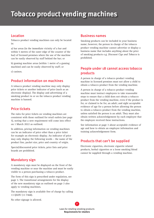# **Tobacco product vending machines**

#### Location

Tobacco product vending machines can only be located in:

a) bar areas (in the immediate vicinity of a bar and within 5 metres of the outer edge of the counter of the bar) of licensed premises where the use of the machine can be easily observed by staff behind the bar; or

b) gaming machine areas (within 1 metre of a gaming machine) and can be easily observed by staff; or

c) casinos.

#### Product information on machines

A tobacco product vending machine may only display price tickets or another indicator of price (such as an electronic display). The display and advertising of a smoking product in or on the tobacco product vending machine is banned.

#### Price tickets

The rules for price tickets on vending machines are consistent with those outlined for retail outlets (see page 5), noting that a new requirement will come into effect on 1 March 2022 as outlined.

In addition, pricing information on vending machines can be an indicator of price other than a price ticket for example an electronic display. An indicator of price may only display the following words – the name of the product line, packet size, price and country of origin.

Special/discounted price tickets, price lists and price boards are prohibited.

#### Mandatory sign

A mandatory sign must be displayed on the front of the vending machine or near the machine and must be easily visible to a person purchasing a tobacco product.

The form of this sign is prescribed under regulation, see page 3. The transitional arrangements for the display of the new mandatory sign as outlined on page 3 also apply to vending machines.

The mandatory sign is available free of charge by calling 13 QGOV (13 7468).

No other signage is allowed.

#### Business names

Smoking products can be included in your business name; however, the person in charge of the tobacco product vending machine cannot advertise or display a business name that includes anything about the price of smoking products e.g. *Discount Cigs and Tobacco* is prohibited.

### People under 18 cannot access tobacco products

A person in charge of a tobacco product vending machine in licensed premises must not allow a child to obtain a tobacco product from the vending machine.

A person in charge of a tobacco product vending machine must instruct employees to take reasonable steps to ensure that a child does not obtain a tobacco product from the vending machine, even if the product is for, or claimed to be for, an adult; and sight acceptable evidence of age for a person before allowing the person to obtain a tobacco product from the vending machine, unless satisfied the person is an adult. They must also obtain written acknowledgement by each employee that the employee received these instructions.

See information at page 3 about acceptable evidence of age and how to obtain an employee information and training acknowledgement form.

#### Products that can't be supplied

Electronic cigarettes, electronic cigarette related products, herbal cigarettes or a loose smoking blend cannot be supplied through a vending machine.

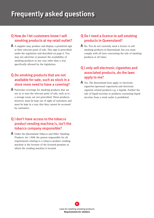# **Frequently asked questions**

### Q How do I let customers know I sell smoking products at my retail outlet?

A A supplier may produce and display a permitted sign at their relevant point of sale. This sign is prescribed under the regulation and described on page 6. You may not advertise or promote the availability of smoking products in any way other than a way specifically allowed by the legislation.

### Q Do smoking products that are not available for sale, such as stock in a store room need to have a covering?

A Particular coverings for smoking products that are not at or near the relevant point of sale, such as in a storage room, are not prescribed. These products, however, must be kept out of sight of customers and must be kept in a way that they cannot be accessed by customers.

### Q I don't have access to the tobacco product vending machine/s, isn't the tobacco company responsible?

A Under the Queensland *Tobacco and Other Smoking Products Act 1998*, the person responsible for all requirements relating to a tobacco product vending machine is the licensee of the licensed premises at which the vending machine is located.

#### Q Do I need a licence to sell smoking products in Queensland?

A No. You do not currently need a licence to sell smoking products in Queensland, but you must comply with all laws concerning the sale of smoking products at all times.

### Q I only sell electronic cigarettes and associated products, do the laws apply to me?

A Yes. The Queensland laws apply to electronic cigarettes (personal vaporisers) and electronic cigarette related products e.g. e-liquids. Further the sale of liquid nicotine or products containing liquid nicotine from a retail outlet is prohibited.